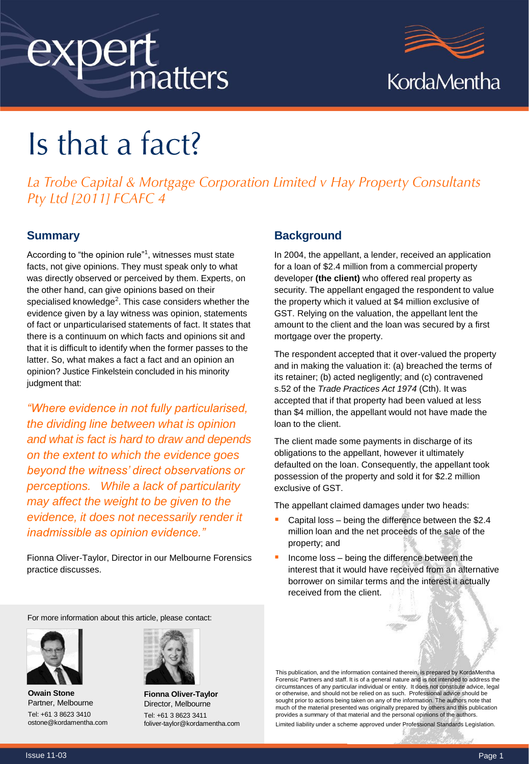# expert matters



# Is that a fact?

La Trobe Capital & Mortgage Corporation Limited v Hay Property Consultants Pty Ltd [2011] FCAFC 4

## **Summary**

According to "the opinion rule"<sup>1</sup>, witnesses must state facts, not give opinions. They must speak only to what was directly observed or perceived by them. Experts, on the other hand, can give opinions based on their specialised knowledge<sup>2</sup>. This case considers whether the evidence given by a lay witness was opinion, statements of fact or unparticularised statements of fact. It states that there is a continuum on which facts and opinions sit and that it is difficult to identify when the former passes to the latter. So, what makes a fact a fact and an opinion an opinion? Justice Finkelstein concluded in his minority judgment that:

*"Where evidence in not fully particularised, the dividing line between what is opinion and what is fact is hard to draw and depends on the extent to which the evidence goes beyond the witness' direct observations or perceptions. While a lack of particularity may affect the weight to be given to the evidence, it does not necessarily render it inadmissible as opinion evidence."* 

Fionna Oliver-Taylor, Director in our Melbourne Forensics practice discusses.

### **Background**

In 2004, the appellant, a lender, received an application for a loan of \$2.4 million from a commercial property developer **(the client)** who offered real property as security. The appellant engaged the respondent to value the property which it valued at \$4 million exclusive of GST. Relying on the valuation, the appellant lent the amount to the client and the loan was secured by a first mortgage over the property.

The respondent accepted that it over-valued the property and in making the valuation it: (a) breached the terms of its retainer; (b) acted negligently; and (c) contravened s.52 of the *Trade Practices Act 1974* (Cth). It was accepted that if that property had been valued at less than \$4 million, the appellant would not have made the loan to the client.

The client made some payments in discharge of its obligations to the appellant, however it ultimately defaulted on the loan. Consequently, the appellant took possession of the property and sold it for \$2.2 million exclusive of GST.

The appellant claimed damages under two heads:

- Capital loss being the difference between the \$2.4 million loan and the net proceeds of the sale of the property; and
- Income loss being the difference between the interest that it would have received from an alternative borrower on similar terms and the interest it actually received from the client.

For more information about this article, please contact:



**Owain Stone** Partner, Melbourne Tel: +61 3 8623 3410 ostone@kordamentha.com



**Fionna Oliver-Taylor** Director, Melbourne Tel: +61 3 8623 3411 foliver-taylor@kordamentha.com

This publication, and the information contained therein, is prepared by KordaMentha Forensic Partners and staff. It is of a general nature and is not intended to address the circumstances of any particular individual or entity. It does not constitute advice, legal or otherwise, and should not be relied on as such. Professional advice should be sought prior to actions being taken on any of the information. The authors note that much of the material presented was originally prepared by others and this publication provides a summary of that material and the personal opinions of the authors.

Limited liability under a scheme approved under Professional Standards Legislation.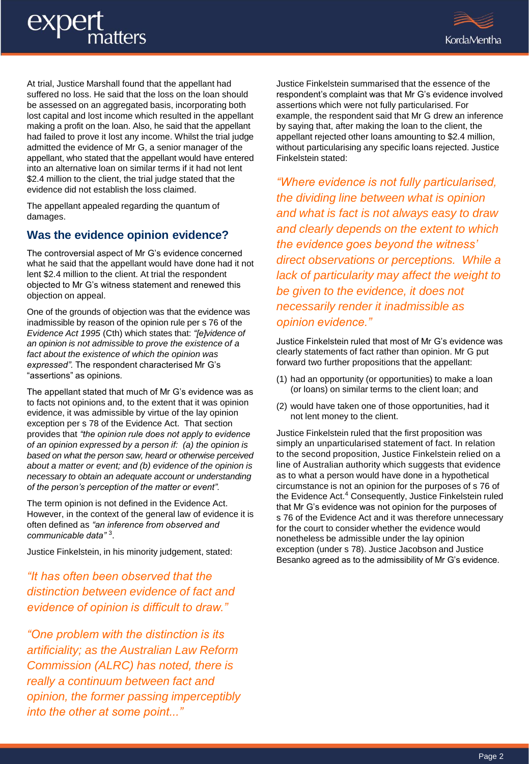# exper atters



At trial, Justice Marshall found that the appellant had suffered no loss. He said that the loss on the loan should be assessed on an aggregated basis, incorporating both lost capital and lost income which resulted in the appellant making a profit on the loan. Also, he said that the appellant had failed to prove it lost any income. Whilst the trial judge admitted the evidence of Mr G, a senior manager of the appellant, who stated that the appellant would have entered into an alternative loan on similar terms if it had not lent \$2.4 million to the client, the trial judge stated that the evidence did not establish the loss claimed.

The appellant appealed regarding the quantum of damages.

# **Was the evidence opinion evidence?**

The controversial aspect of Mr G's evidence concerned what he said that the appellant would have done had it not lent \$2.4 million to the client. At trial the respondent objected to Mr G's witness statement and renewed this objection on appeal.

One of the grounds of objection was that the evidence was inadmissible by reason of the opinion rule per s 76 of the *Evidence Act 1995* (Cth) which states that: *"[e]vidence of an opinion is not admissible to prove the existence of a fact about the existence of which the opinion was expressed".* The respondent characterised Mr G's "assertions" as opinions*.*

The appellant stated that much of Mr G's evidence was as to facts not opinions and, to the extent that it was opinion evidence, it was admissible by virtue of the lay opinion exception per s 78 of the Evidence Act. That section provides that *"the opinion rule does not apply to evidence of an opinion expressed by a person if: (a) the opinion is based on what the person saw, heard or otherwise perceived about a matter or event; and (b) evidence of the opinion is necessary to obtain an adequate account or understanding of the person's perception of the matter or event".* 

The term opinion is not defined in the Evidence Act. However, in the context of the general law of evidence it is often defined as *"an inference from observed and communicable data"* <sup>3</sup> .

Justice Finkelstein, in his minority judgement, stated:

*"It has often been observed that the distinction between evidence of fact and evidence of opinion is difficult to draw."*

*"One problem with the distinction is its artificiality; as the Australian Law Reform Commission (ALRC) has noted, there is really a continuum between fact and opinion, the former passing imperceptibly into the other at some point..."*

Justice Finkelstein summarised that the essence of the respondent's complaint was that Mr G's evidence involved assertions which were not fully particularised. For example, the respondent said that Mr G drew an inference by saying that, after making the loan to the client, the appellant rejected other loans amounting to \$2.4 million, without particularising any specific loans rejected. Justice Finkelstein stated:

*"Where evidence is not fully particularised, the dividing line between what is opinion and what is fact is not always easy to draw and clearly depends on the extent to which the evidence goes beyond the witness' direct observations or perceptions. While a lack of particularity may affect the weight to be given to the evidence, it does not necessarily render it inadmissible as opinion evidence."*

Justice Finkelstein ruled that most of Mr G's evidence was clearly statements of fact rather than opinion. Mr G put forward two further propositions that the appellant:

- (1) had an opportunity (or opportunities) to make a loan (or loans) on similar terms to the client loan; and
- (2) would have taken one of those opportunities, had it not lent money to the client.

Justice Finkelstein ruled that the first proposition was simply an unparticularised statement of fact. In relation to the second proposition, Justice Finkelstein relied on a line of Australian authority which suggests that evidence as to what a person would have done in a hypothetical circumstance is not an opinion for the purposes of s 76 of the Evidence Act.<sup>4</sup> Consequently, Justice Finkelstein ruled that Mr G's evidence was not opinion for the purposes of s 76 of the Evidence Act and it was therefore unnecessary for the court to consider whether the evidence would nonetheless be admissible under the lay opinion exception (under s 78). Justice Jacobson and Justice Besanko agreed as to the admissibility of Mr G's evidence.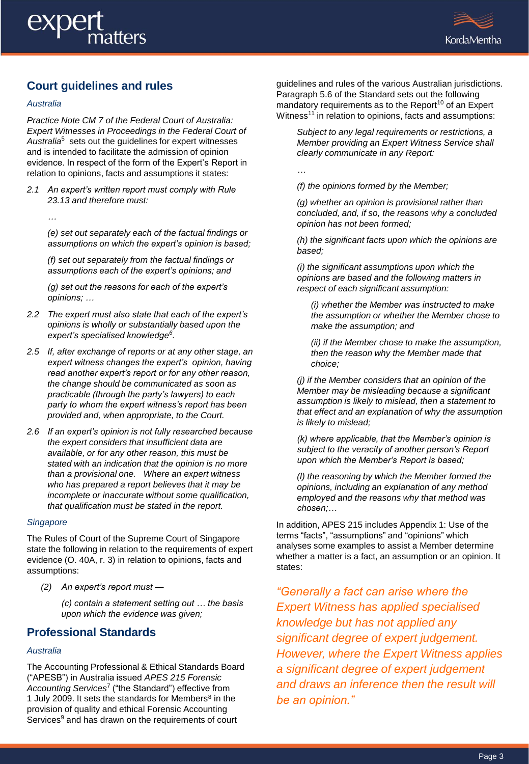

# **Court guidelines and rules**

### *Australia*

*Practice Note CM 7 of the Federal Court of Australia: Expert Witnesses in Proceedings in the Federal Court of*  Australia<sup>5</sup> sets out the guidelines for expert witnesses and is intended to facilitate the admission of opinion evidence. In respect of the form of the Expert's Report in relation to opinions, facts and assumptions it states:

*2.1 An expert's written report must comply with Rule 23.13 and therefore must:*

*…*

*(e) set out separately each of the factual findings or assumptions on which the expert's opinion is based;* 

*(f) set out separately from the factual findings or assumptions each of the expert's opinions; and*

*(g) set out the reasons for each of the expert's opinions; …*

- *2.2 The expert must also state that each of the expert's opinions is wholly or substantially based upon the expert's specialised knowledge<sup>6</sup> .*
- *2.5 If, after exchange of reports or at any other stage, an expert witness changes the expert's opinion, having read another expert's report or for any other reason, the change should be communicated as soon as practicable (through the party's lawyers) to each party to whom the expert witness's report has been provided and, when appropriate, to the Court.*
- *2.6 If an expert's opinion is not fully researched because the expert considers that insufficient data are available, or for any other reason, this must be stated with an indication that the opinion is no more than a provisional one. Where an expert witness who has prepared a report believes that it may be incomplete or inaccurate without some qualification, that qualification must be stated in the report.*

### *Singapore*

The Rules of Court of the Supreme Court of Singapore state the following in relation to the requirements of expert evidence (O. 40A, r. 3) in relation to opinions, facts and assumptions:

*(2) An expert's report must —*

*(c) contain a statement setting out … the basis upon which the evidence was given;*

# **Professional Standards**

### *Australia*

The Accounting Professional & Ethical Standards Board ("APESB") in Australia issued *APES 215 Forensic Accounting Services*<sup>7</sup> ("the Standard") effective from 1 July 2009. It sets the standards for Members $8$  in the provision of quality and ethical Forensic Accounting Services<sup>9</sup> and has drawn on the requirements of court

guidelines and rules of the various Australian jurisdictions. Paragraph 5.6 of the Standard sets out the following mandatory requirements as to the Report<sup>10</sup> of an Expert Witness<sup>11</sup> in relation to opinions, facts and assumptions:

*Subject to any legal requirements or restrictions, a Member providing an Expert Witness Service shall clearly communicate in any Report:*

*…*

*(f) the opinions formed by the Member;*

*(g) whether an opinion is provisional rather than concluded, and, if so, the reasons why a concluded opinion has not been formed;*

*(h) the significant facts upon which the opinions are based;*

*(i) the significant assumptions upon which the opinions are based and the following matters in respect of each significant assumption:*

*(i) whether the Member was instructed to make the assumption or whether the Member chose to make the assumption; and*

*(ii) if the Member chose to make the assumption, then the reason why the Member made that choice;*

*(j) if the Member considers that an opinion of the Member may be misleading because a significant assumption is likely to mislead, then a statement to that effect and an explanation of why the assumption is likely to mislead;*

*(k) where applicable, that the Member's opinion is subject to the veracity of another person's Report upon which the Member's Report is based;* 

*(l) the reasoning by which the Member formed the opinions, including an explanation of any method employed and the reasons why that method was chosen;…*

In addition, APES 215 includes Appendix 1: Use of the terms "facts", "assumptions" and "opinions" which analyses some examples to assist a Member determine whether a matter is a fact, an assumption or an opinion. It states:

*"Generally a fact can arise where the Expert Witness has applied specialised knowledge but has not applied any significant degree of expert judgement. However, where the Expert Witness applies a significant degree of expert judgement and draws an inference then the result will be an opinion."*